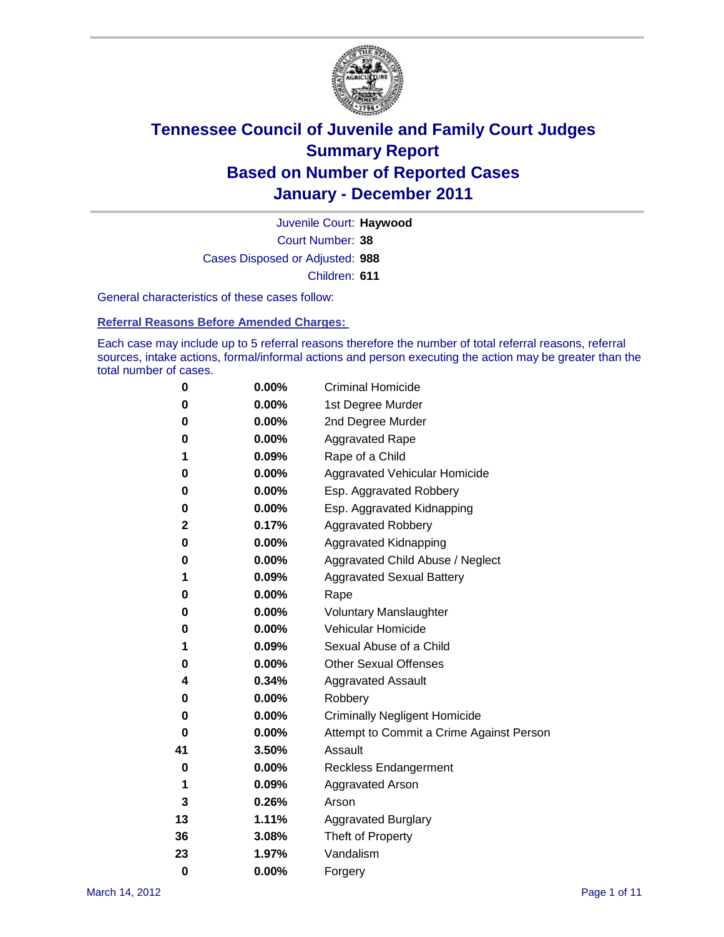

Court Number: **38** Juvenile Court: **Haywood** Cases Disposed or Adjusted: **988** Children: **611**

General characteristics of these cases follow:

**Referral Reasons Before Amended Charges:** 

Each case may include up to 5 referral reasons therefore the number of total referral reasons, referral sources, intake actions, formal/informal actions and person executing the action may be greater than the total number of cases.

| 0  | 0.00%    | <b>Criminal Homicide</b>                 |
|----|----------|------------------------------------------|
| 0  | 0.00%    | 1st Degree Murder                        |
| 0  | 0.00%    | 2nd Degree Murder                        |
| 0  | 0.00%    | <b>Aggravated Rape</b>                   |
| 1  | 0.09%    | Rape of a Child                          |
| 0  | 0.00%    | Aggravated Vehicular Homicide            |
| 0  | 0.00%    | Esp. Aggravated Robbery                  |
| 0  | 0.00%    | Esp. Aggravated Kidnapping               |
| 2  | 0.17%    | <b>Aggravated Robbery</b>                |
| 0  | 0.00%    | Aggravated Kidnapping                    |
| 0  | 0.00%    | Aggravated Child Abuse / Neglect         |
| 1  | 0.09%    | <b>Aggravated Sexual Battery</b>         |
| 0  | 0.00%    | Rape                                     |
| 0  | 0.00%    | <b>Voluntary Manslaughter</b>            |
| 0  | 0.00%    | Vehicular Homicide                       |
| 1  | 0.09%    | Sexual Abuse of a Child                  |
| 0  | 0.00%    | <b>Other Sexual Offenses</b>             |
| 4  | 0.34%    | <b>Aggravated Assault</b>                |
| 0  | $0.00\%$ | Robbery                                  |
| 0  | 0.00%    | <b>Criminally Negligent Homicide</b>     |
| 0  | 0.00%    | Attempt to Commit a Crime Against Person |
| 41 | 3.50%    | Assault                                  |
| 0  | 0.00%    | <b>Reckless Endangerment</b>             |
| 1  | 0.09%    | <b>Aggravated Arson</b>                  |
| 3  | 0.26%    | Arson                                    |
| 13 | 1.11%    | <b>Aggravated Burglary</b>               |
| 36 | 3.08%    | Theft of Property                        |
| 23 | 1.97%    | Vandalism                                |
| 0  | 0.00%    | Forgery                                  |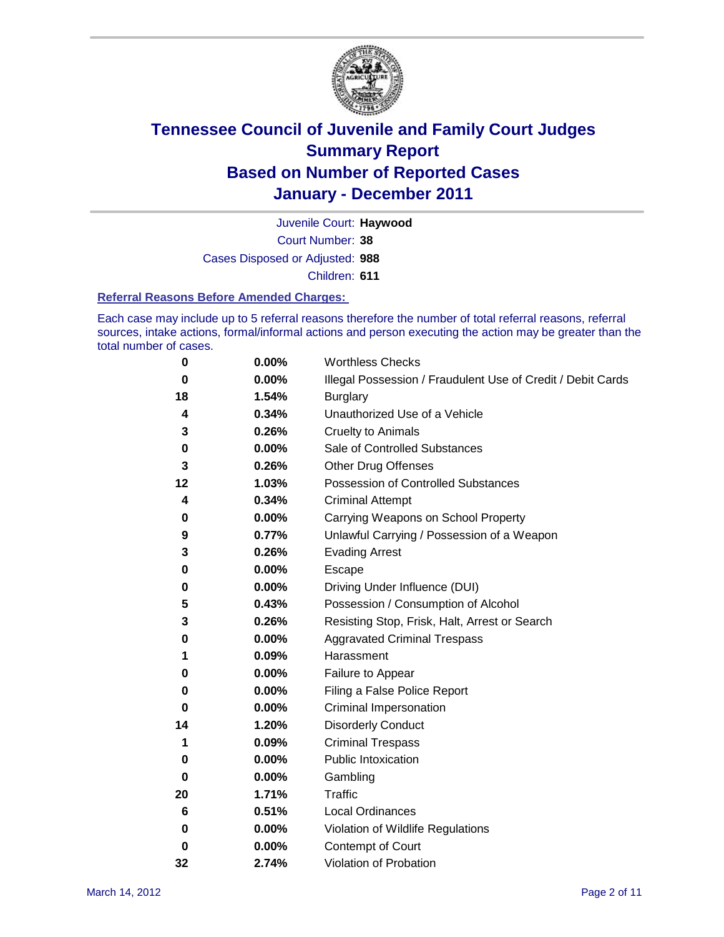

Court Number: **38** Juvenile Court: **Haywood** Cases Disposed or Adjusted: **988** Children: **611**

#### **Referral Reasons Before Amended Charges:**

Each case may include up to 5 referral reasons therefore the number of total referral reasons, referral sources, intake actions, formal/informal actions and person executing the action may be greater than the total number of cases.

| 0  | 0.00% | <b>Worthless Checks</b>                                     |
|----|-------|-------------------------------------------------------------|
| 0  | 0.00% | Illegal Possession / Fraudulent Use of Credit / Debit Cards |
| 18 | 1.54% | <b>Burglary</b>                                             |
| 4  | 0.34% | Unauthorized Use of a Vehicle                               |
| 3  | 0.26% | <b>Cruelty to Animals</b>                                   |
| 0  | 0.00% | Sale of Controlled Substances                               |
| 3  | 0.26% | <b>Other Drug Offenses</b>                                  |
| 12 | 1.03% | <b>Possession of Controlled Substances</b>                  |
| 4  | 0.34% | <b>Criminal Attempt</b>                                     |
| 0  | 0.00% | Carrying Weapons on School Property                         |
| 9  | 0.77% | Unlawful Carrying / Possession of a Weapon                  |
| 3  | 0.26% | <b>Evading Arrest</b>                                       |
| 0  | 0.00% | Escape                                                      |
| 0  | 0.00% | Driving Under Influence (DUI)                               |
| 5  | 0.43% | Possession / Consumption of Alcohol                         |
| 3  | 0.26% | Resisting Stop, Frisk, Halt, Arrest or Search               |
| 0  | 0.00% | <b>Aggravated Criminal Trespass</b>                         |
| 1  | 0.09% | Harassment                                                  |
| 0  | 0.00% | Failure to Appear                                           |
| 0  | 0.00% | Filing a False Police Report                                |
| 0  | 0.00% | Criminal Impersonation                                      |
| 14 | 1.20% | <b>Disorderly Conduct</b>                                   |
| 1  | 0.09% | <b>Criminal Trespass</b>                                    |
| 0  | 0.00% | <b>Public Intoxication</b>                                  |
| 0  | 0.00% | Gambling                                                    |
| 20 | 1.71% | <b>Traffic</b>                                              |
| 6  | 0.51% | <b>Local Ordinances</b>                                     |
| 0  | 0.00% | Violation of Wildlife Regulations                           |
| 0  | 0.00% | Contempt of Court                                           |
| 32 | 2.74% | Violation of Probation                                      |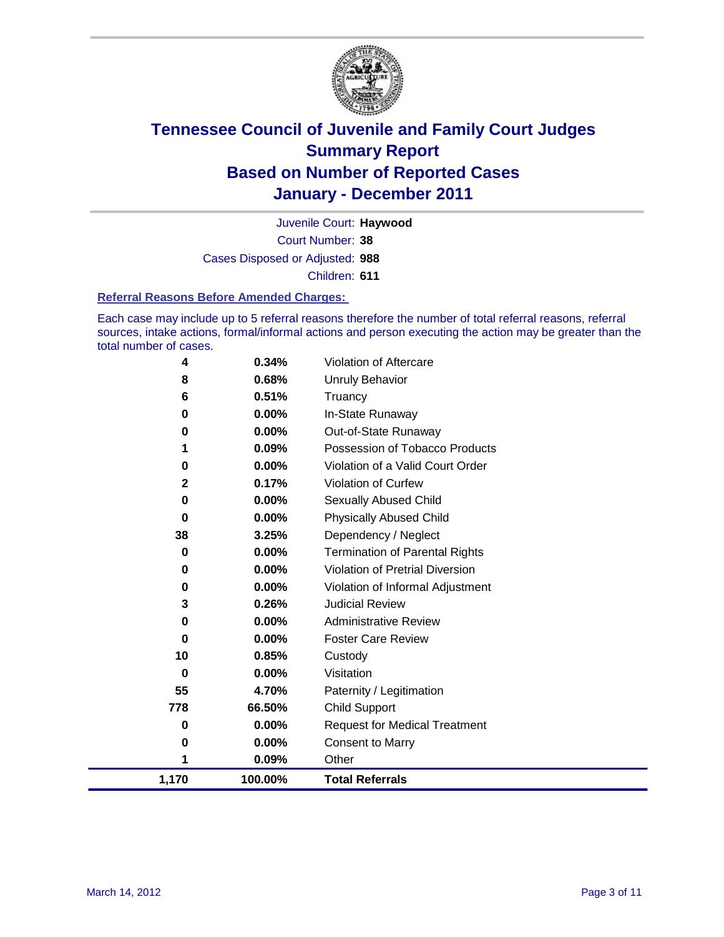

Court Number: **38** Juvenile Court: **Haywood** Cases Disposed or Adjusted: **988** Children: **611**

#### **Referral Reasons Before Amended Charges:**

Each case may include up to 5 referral reasons therefore the number of total referral reasons, referral sources, intake actions, formal/informal actions and person executing the action may be greater than the total number of cases.

| 778<br>0     | 66.50%<br>0.00%   | <b>Child Support</b><br><b>Request for Medical Treatment</b> |
|--------------|-------------------|--------------------------------------------------------------|
| 55           | 4.70%             | Paternity / Legitimation                                     |
| $\bf{0}$     | 0.00%             | Visitation                                                   |
| 10           | 0.85%             | Custody                                                      |
| 0            | 0.00%             | <b>Foster Care Review</b>                                    |
| 3<br>0       | 0.26%<br>$0.00\%$ | <b>Judicial Review</b><br><b>Administrative Review</b>       |
| 0            | 0.00%             | Violation of Informal Adjustment                             |
| 0            | 0.00%             | <b>Violation of Pretrial Diversion</b>                       |
| 0            | 0.00%             | Termination of Parental Rights                               |
| 38           | 3.25%             | Dependency / Neglect                                         |
| 0            | 0.00%             | <b>Physically Abused Child</b>                               |
| 0            | 0.00%             | Sexually Abused Child                                        |
| $\mathbf{2}$ | 0.17%             | Violation of Curfew                                          |
| 0            | 0.00%             | Violation of a Valid Court Order                             |
|              | 0.09%             | Possession of Tobacco Products                               |
| 0            | 0.00%             | Out-of-State Runaway                                         |
| $\bf{0}$     | 0.00%             | In-State Runaway                                             |
| 6            | 0.51%             | Truancy                                                      |
| 8            | 0.68%             | <b>Unruly Behavior</b>                                       |
| 4            | 0.34%             | Violation of Aftercare                                       |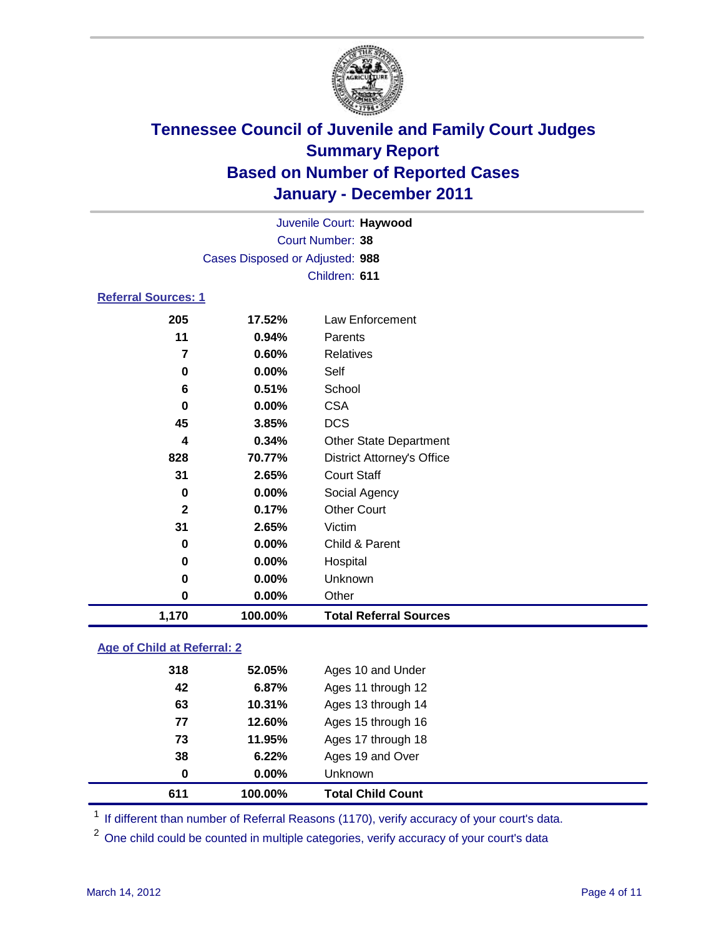

| 1,170                      | 100.00%                         | <b>Total Referral Sources</b>     |  |
|----------------------------|---------------------------------|-----------------------------------|--|
| 0                          | 0.00%                           | Other                             |  |
| 0                          | 0.00%                           | Unknown                           |  |
| 0                          | 0.00%                           | Hospital                          |  |
| 0                          | $0.00\%$                        | Child & Parent                    |  |
| 31                         | 2.65%                           | Victim                            |  |
| $\mathbf{2}$               | 0.17%                           | <b>Other Court</b>                |  |
| 0                          | $0.00\%$                        | Social Agency                     |  |
| 31                         | 2.65%                           | <b>Court Staff</b>                |  |
| 828                        | 70.77%                          | <b>District Attorney's Office</b> |  |
| 4                          | 0.34%                           | <b>Other State Department</b>     |  |
| 45                         | 3.85%                           | <b>DCS</b>                        |  |
| 0                          | $0.00\%$                        | <b>CSA</b>                        |  |
| 6                          | 0.51%                           | School                            |  |
| 0                          | 0.00%                           | Self                              |  |
| 7                          | 0.60%                           | <b>Relatives</b>                  |  |
| 11                         | 0.94%                           | Parents                           |  |
| 205                        | 17.52%                          | <b>Law Enforcement</b>            |  |
| <b>Referral Sources: 1</b> |                                 |                                   |  |
|                            |                                 | Children: 611                     |  |
|                            | Cases Disposed or Adjusted: 988 |                                   |  |
|                            | Court Number: 38                |                                   |  |
|                            |                                 | Juvenile Court: Haywood           |  |
|                            |                                 |                                   |  |

### **Age of Child at Referral: 2**

| 611 | 100.00% | <b>Total Child Count</b> |  |
|-----|---------|--------------------------|--|
| 0   | 0.00%   | <b>Unknown</b>           |  |
| 38  | 6.22%   | Ages 19 and Over         |  |
| 73  | 11.95%  | Ages 17 through 18       |  |
| 77  | 12.60%  | Ages 15 through 16       |  |
| 63  | 10.31%  | Ages 13 through 14       |  |
| 42  | 6.87%   | Ages 11 through 12       |  |
| 318 | 52.05%  | Ages 10 and Under        |  |
|     |         |                          |  |

<sup>1</sup> If different than number of Referral Reasons (1170), verify accuracy of your court's data.

<sup>2</sup> One child could be counted in multiple categories, verify accuracy of your court's data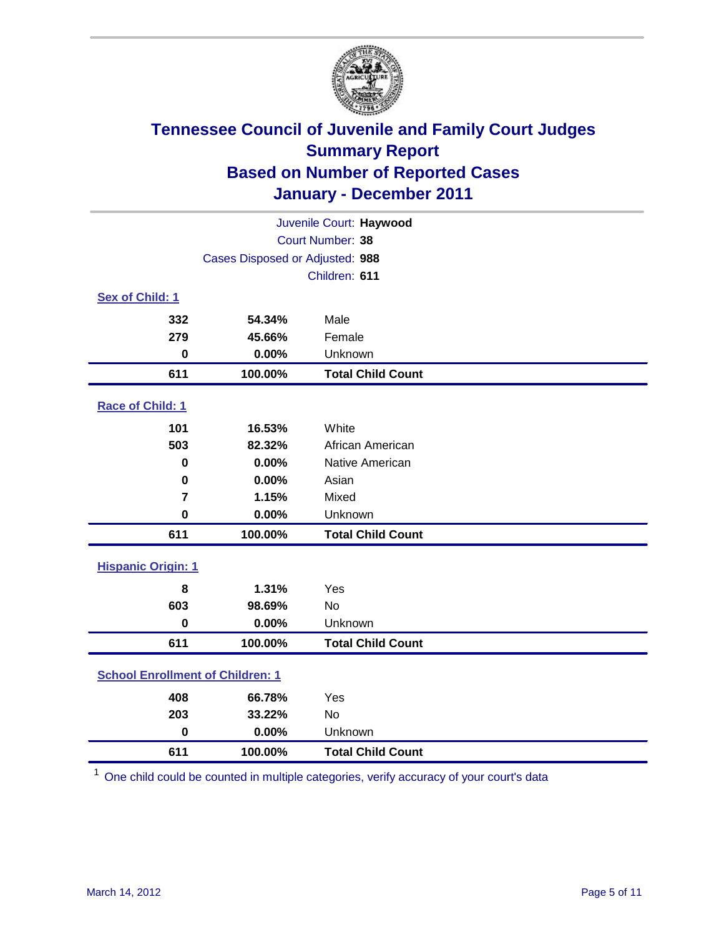

| Juvenile Court: Haywood                 |                                 |                          |  |  |  |
|-----------------------------------------|---------------------------------|--------------------------|--|--|--|
| Court Number: 38                        |                                 |                          |  |  |  |
|                                         | Cases Disposed or Adjusted: 988 |                          |  |  |  |
|                                         |                                 | Children: 611            |  |  |  |
| Sex of Child: 1                         |                                 |                          |  |  |  |
| 332                                     | 54.34%                          | Male                     |  |  |  |
| 279                                     | 45.66%                          | Female                   |  |  |  |
| $\mathbf 0$                             | 0.00%                           | Unknown                  |  |  |  |
| 611                                     | 100.00%                         | <b>Total Child Count</b> |  |  |  |
| Race of Child: 1                        |                                 |                          |  |  |  |
| 101                                     | 16.53%                          | White                    |  |  |  |
| 503                                     | 82.32%                          | African American         |  |  |  |
| 0                                       | 0.00%                           | Native American          |  |  |  |
| $\mathbf 0$                             | 0.00%                           | Asian                    |  |  |  |
| $\overline{7}$                          | 1.15%                           | Mixed                    |  |  |  |
| $\mathbf 0$                             | 0.00%                           | Unknown                  |  |  |  |
| 611                                     | 100.00%                         | <b>Total Child Count</b> |  |  |  |
| <b>Hispanic Origin: 1</b>               |                                 |                          |  |  |  |
| 8                                       | 1.31%                           | Yes                      |  |  |  |
| 603                                     | 98.69%                          | No                       |  |  |  |
| $\mathbf 0$                             | 0.00%                           | Unknown                  |  |  |  |
| 611                                     | 100.00%                         | <b>Total Child Count</b> |  |  |  |
| <b>School Enrollment of Children: 1</b> |                                 |                          |  |  |  |
| 408                                     | 66.78%                          | Yes                      |  |  |  |
| 203                                     | 33.22%                          | <b>No</b>                |  |  |  |
| $\mathbf 0$                             | 0.00%                           | Unknown                  |  |  |  |
| 611                                     | 100.00%                         | <b>Total Child Count</b> |  |  |  |

One child could be counted in multiple categories, verify accuracy of your court's data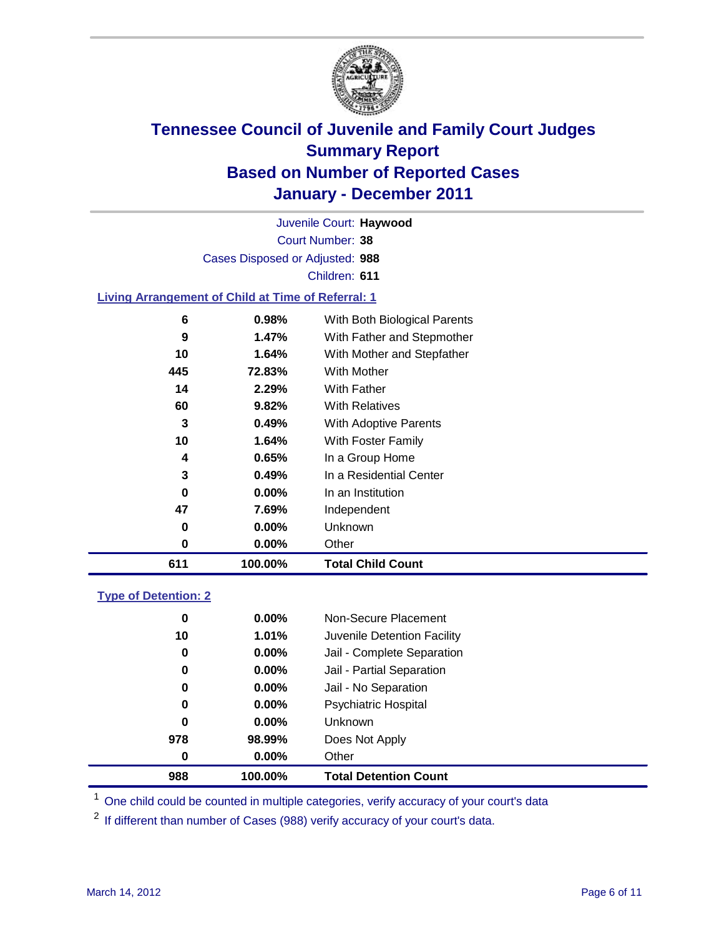

Court Number: **38** Juvenile Court: **Haywood** Cases Disposed or Adjusted: **988** Children: **611**

#### **Living Arrangement of Child at Time of Referral: 1**

| 611 | 100.00% | <b>Total Child Count</b>     |
|-----|---------|------------------------------|
| 0   | 0.00%   | Other                        |
| 0   | 0.00%   | Unknown                      |
| 47  | 7.69%   | Independent                  |
| 0   | 0.00%   | In an Institution            |
| 3   | 0.49%   | In a Residential Center      |
| 4   | 0.65%   | In a Group Home              |
| 10  | 1.64%   | With Foster Family           |
| 3   | 0.49%   | With Adoptive Parents        |
| 60  | 9.82%   | <b>With Relatives</b>        |
| 14  | 2.29%   | With Father                  |
| 445 | 72.83%  | With Mother                  |
| 10  | 1.64%   | With Mother and Stepfather   |
| 9   | 1.47%   | With Father and Stepmother   |
| 6   | 0.98%   | With Both Biological Parents |
|     |         |                              |

#### **Type of Detention: 2**

| 988              | 100.00%  | <b>Total Detention Count</b> |
|------------------|----------|------------------------------|
| $\boldsymbol{0}$ | $0.00\%$ | Other                        |
| 978              | 98.99%   | Does Not Apply               |
| $\bf{0}$         | $0.00\%$ | Unknown                      |
| 0                | 0.00%    | <b>Psychiatric Hospital</b>  |
| 0                | 0.00%    | Jail - No Separation         |
| 0                | $0.00\%$ | Jail - Partial Separation    |
| 0                | $0.00\%$ | Jail - Complete Separation   |
| 10               | 1.01%    | Juvenile Detention Facility  |
| 0                | $0.00\%$ | Non-Secure Placement         |
|                  |          |                              |

<sup>1</sup> One child could be counted in multiple categories, verify accuracy of your court's data

<sup>2</sup> If different than number of Cases (988) verify accuracy of your court's data.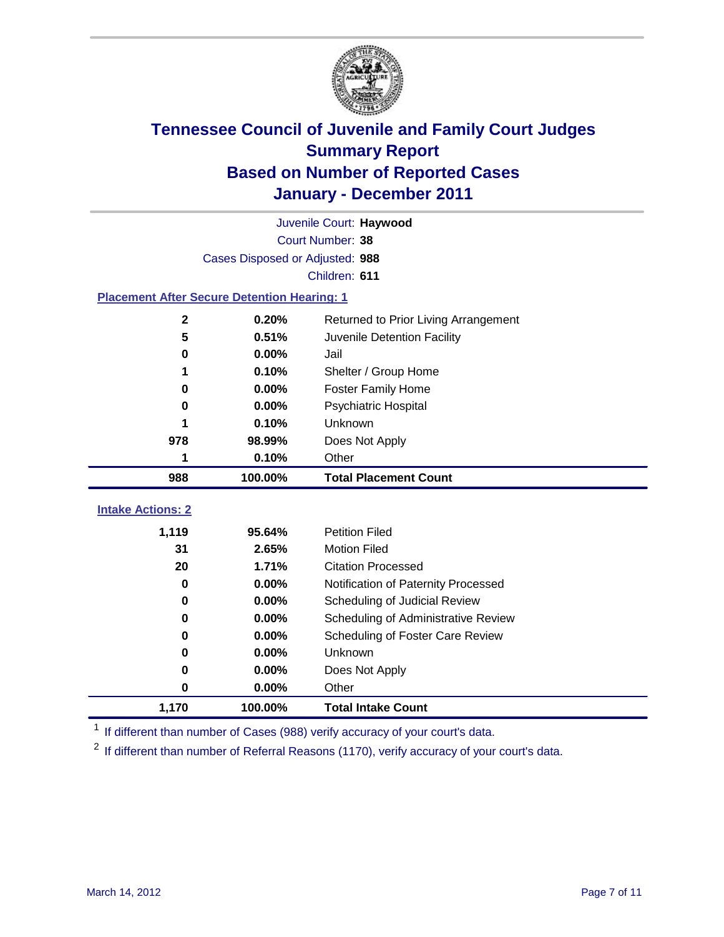

| Juvenile Court: Haywood                            |                                 |                                      |  |  |  |
|----------------------------------------------------|---------------------------------|--------------------------------------|--|--|--|
|                                                    | Court Number: 38                |                                      |  |  |  |
|                                                    | Cases Disposed or Adjusted: 988 |                                      |  |  |  |
|                                                    |                                 | Children: 611                        |  |  |  |
| <b>Placement After Secure Detention Hearing: 1</b> |                                 |                                      |  |  |  |
| $\mathbf 2$                                        | 0.20%                           | Returned to Prior Living Arrangement |  |  |  |
| 5                                                  | 0.51%                           | Juvenile Detention Facility          |  |  |  |
| $\bf{0}$                                           | 0.00%                           | Jail                                 |  |  |  |
| 1                                                  | 0.10%                           | Shelter / Group Home                 |  |  |  |
| $\bf{0}$                                           | 0.00%                           | <b>Foster Family Home</b>            |  |  |  |
| 0                                                  | 0.00%                           | Psychiatric Hospital                 |  |  |  |
|                                                    | 0.10%                           | Unknown                              |  |  |  |
| 978                                                | 98.99%                          | Does Not Apply                       |  |  |  |
| 1                                                  | 0.10%                           | Other                                |  |  |  |
| 988                                                | 100.00%                         | <b>Total Placement Count</b>         |  |  |  |
| <b>Intake Actions: 2</b>                           |                                 |                                      |  |  |  |
|                                                    |                                 |                                      |  |  |  |
| 1,119                                              | 95.64%                          | <b>Petition Filed</b>                |  |  |  |
| 31                                                 | 2.65%                           | <b>Motion Filed</b>                  |  |  |  |
| 20                                                 | 1.71%                           | <b>Citation Processed</b>            |  |  |  |
| 0                                                  | 0.00%                           | Notification of Paternity Processed  |  |  |  |
| $\bf{0}$                                           | 0.00%                           | Scheduling of Judicial Review        |  |  |  |
| 0                                                  | 0.00%                           | Scheduling of Administrative Review  |  |  |  |
| 0                                                  | 0.00%                           | Scheduling of Foster Care Review     |  |  |  |
| 0                                                  | 0.00%                           | Unknown                              |  |  |  |
| 0                                                  | 0.00%                           | Does Not Apply                       |  |  |  |
| 0                                                  | 0.00%                           | Other                                |  |  |  |
| 1,170                                              | 100.00%                         | <b>Total Intake Count</b>            |  |  |  |

<sup>1</sup> If different than number of Cases (988) verify accuracy of your court's data.

<sup>2</sup> If different than number of Referral Reasons (1170), verify accuracy of your court's data.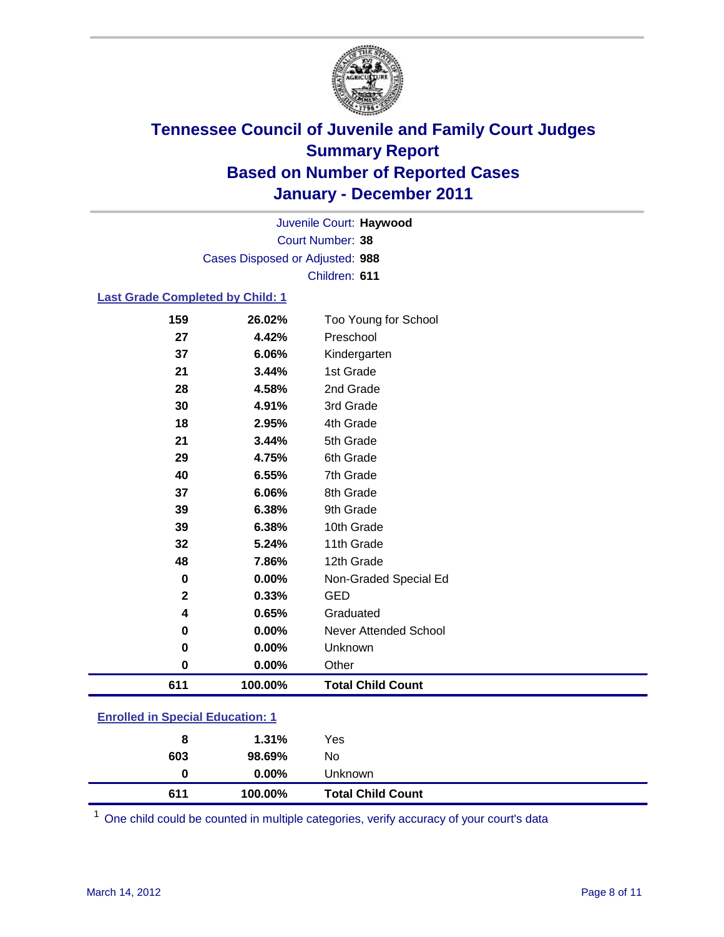

Court Number: **38** Juvenile Court: **Haywood** Cases Disposed or Adjusted: **988** Children: **611**

### **Last Grade Completed by Child: 1**

| 159          | 26.02%  | Too Young for School     |
|--------------|---------|--------------------------|
| 27           | 4.42%   | Preschool                |
| 37           | 6.06%   | Kindergarten             |
| 21           | 3.44%   | 1st Grade                |
| 28           | 4.58%   | 2nd Grade                |
| 30           | 4.91%   | 3rd Grade                |
| 18           | 2.95%   | 4th Grade                |
| 21           | 3.44%   | 5th Grade                |
| 29           | 4.75%   | 6th Grade                |
| 40           | 6.55%   | 7th Grade                |
| 37           | 6.06%   | 8th Grade                |
| 39           | 6.38%   | 9th Grade                |
| 39           | 6.38%   | 10th Grade               |
| 32           | 5.24%   | 11th Grade               |
| 48           | 7.86%   | 12th Grade               |
| 0            | 0.00%   | Non-Graded Special Ed    |
| $\mathbf{2}$ | 0.33%   | <b>GED</b>               |
| 4            | 0.65%   | Graduated                |
| 0            | 0.00%   | Never Attended School    |
| 0            | 0.00%   | Unknown                  |
| $\bf{0}$     | 0.00%   | Other                    |
| 611          | 100.00% | <b>Total Child Count</b> |
|              |         |                          |

### **Enrolled in Special Education: 1**

| 611 | 100.00%  | <b>Total Child Count</b> |  |
|-----|----------|--------------------------|--|
| 0   | $0.00\%$ | Unknown                  |  |
| 603 | 98.69%   | No                       |  |
| 8   | 1.31%    | Yes                      |  |
|     |          |                          |  |

One child could be counted in multiple categories, verify accuracy of your court's data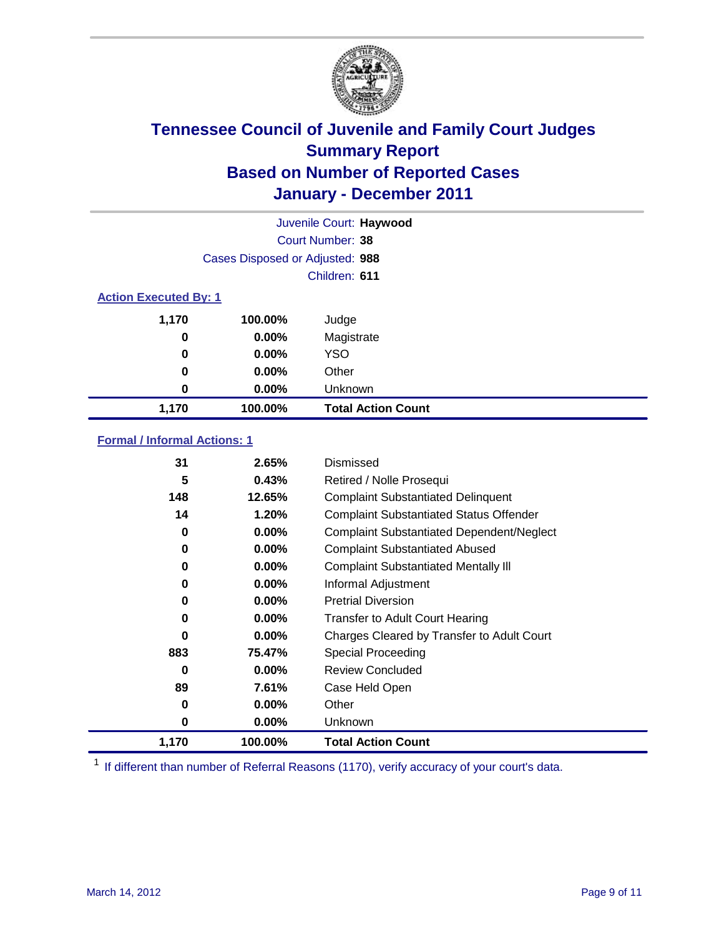

|                              | Juvenile Court: Haywood         |                           |  |  |
|------------------------------|---------------------------------|---------------------------|--|--|
|                              |                                 | <b>Court Number: 38</b>   |  |  |
|                              | Cases Disposed or Adjusted: 988 |                           |  |  |
|                              |                                 | Children: 611             |  |  |
| <b>Action Executed By: 1</b> |                                 |                           |  |  |
| 1,170                        | 100.00%                         | Judge                     |  |  |
| 0                            | $0.00\%$                        | Magistrate                |  |  |
| 0                            | $0.00\%$                        | <b>YSO</b>                |  |  |
| 0                            | 0.00%                           | Other                     |  |  |
| 0                            | 0.00%                           | Unknown                   |  |  |
| 1,170                        | 100.00%                         | <b>Total Action Count</b> |  |  |

### **Formal / Informal Actions: 1**

| 31    | 2.65%    | Dismissed                                        |
|-------|----------|--------------------------------------------------|
| 5     | 0.43%    | Retired / Nolle Prosequi                         |
| 148   | 12.65%   | <b>Complaint Substantiated Delinquent</b>        |
| 14    | 1.20%    | <b>Complaint Substantiated Status Offender</b>   |
| 0     | $0.00\%$ | <b>Complaint Substantiated Dependent/Neglect</b> |
| 0     | $0.00\%$ | <b>Complaint Substantiated Abused</b>            |
| 0     | $0.00\%$ | <b>Complaint Substantiated Mentally III</b>      |
| 0     | $0.00\%$ | Informal Adjustment                              |
| 0     | $0.00\%$ | <b>Pretrial Diversion</b>                        |
| 0     | $0.00\%$ | <b>Transfer to Adult Court Hearing</b>           |
| 0     | $0.00\%$ | Charges Cleared by Transfer to Adult Court       |
| 883   | 75.47%   | Special Proceeding                               |
| 0     | $0.00\%$ | <b>Review Concluded</b>                          |
| 89    | 7.61%    | Case Held Open                                   |
| 0     | $0.00\%$ | Other                                            |
| 0     | $0.00\%$ | <b>Unknown</b>                                   |
| 1,170 | 100.00%  | <b>Total Action Count</b>                        |

<sup>1</sup> If different than number of Referral Reasons (1170), verify accuracy of your court's data.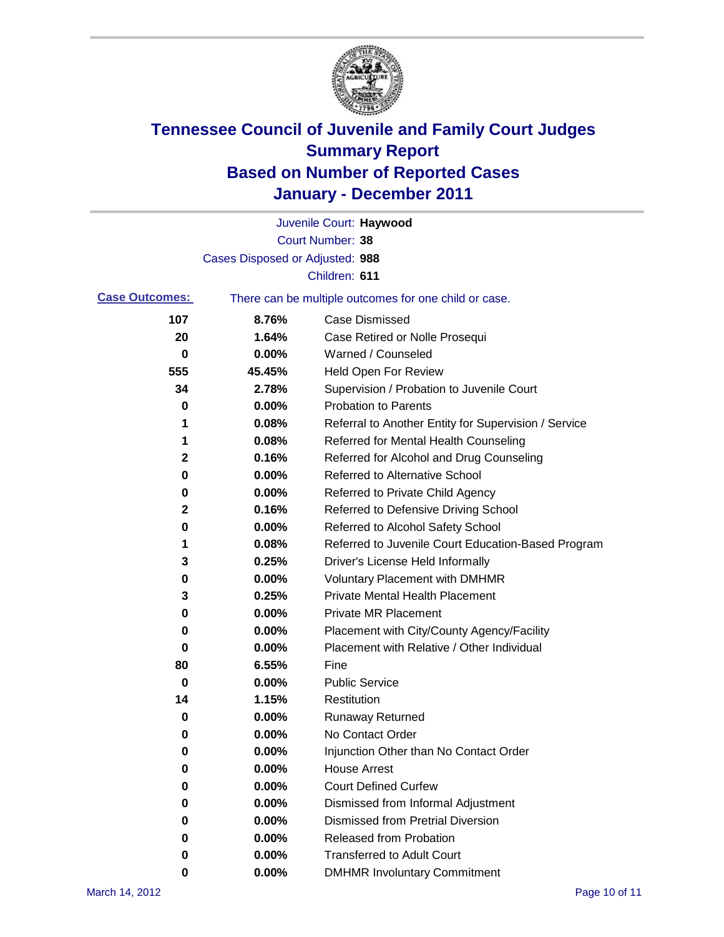

|                       |                                 | Juvenile Court: Haywood                               |
|-----------------------|---------------------------------|-------------------------------------------------------|
|                       |                                 | Court Number: 38                                      |
|                       | Cases Disposed or Adjusted: 988 |                                                       |
|                       |                                 | Children: 611                                         |
| <b>Case Outcomes:</b> |                                 | There can be multiple outcomes for one child or case. |
| 107                   | 8.76%                           | <b>Case Dismissed</b>                                 |
| 20                    | 1.64%                           | Case Retired or Nolle Prosequi                        |
| 0                     | 0.00%                           | Warned / Counseled                                    |
| 555                   | 45.45%                          | <b>Held Open For Review</b>                           |
| 34                    | 2.78%                           | Supervision / Probation to Juvenile Court             |
| 0                     | 0.00%                           | <b>Probation to Parents</b>                           |
| 1                     | 0.08%                           | Referral to Another Entity for Supervision / Service  |
| 1                     | 0.08%                           | Referred for Mental Health Counseling                 |
| $\mathbf 2$           | 0.16%                           | Referred for Alcohol and Drug Counseling              |
| 0                     | 0.00%                           | <b>Referred to Alternative School</b>                 |
| 0                     | 0.00%                           | Referred to Private Child Agency                      |
| 2                     | 0.16%                           | Referred to Defensive Driving School                  |
| 0                     | 0.00%                           | Referred to Alcohol Safety School                     |
| 1                     | 0.08%                           | Referred to Juvenile Court Education-Based Program    |
| 3                     | 0.25%                           | Driver's License Held Informally                      |
| 0                     | 0.00%                           | <b>Voluntary Placement with DMHMR</b>                 |
| 3                     | 0.25%                           | <b>Private Mental Health Placement</b>                |
| 0                     | 0.00%                           | <b>Private MR Placement</b>                           |
| 0                     | 0.00%                           | Placement with City/County Agency/Facility            |
| 0                     | 0.00%                           | Placement with Relative / Other Individual            |
| 80                    | 6.55%                           | Fine                                                  |
| 0                     | 0.00%                           | <b>Public Service</b>                                 |
| 14                    | 1.15%                           | Restitution                                           |
| 0                     | 0.00%                           | <b>Runaway Returned</b>                               |
| 0                     | 0.00%                           | No Contact Order                                      |
| 0                     | 0.00%                           | Injunction Other than No Contact Order                |
| 0                     | 0.00%                           | <b>House Arrest</b>                                   |
| 0                     | 0.00%                           | <b>Court Defined Curfew</b>                           |
| 0                     | 0.00%                           | Dismissed from Informal Adjustment                    |
| 0                     | 0.00%                           | <b>Dismissed from Pretrial Diversion</b>              |
| 0                     | 0.00%                           | Released from Probation                               |
| 0                     | 0.00%                           | <b>Transferred to Adult Court</b>                     |
| 0                     | $0.00\%$                        | <b>DMHMR Involuntary Commitment</b>                   |